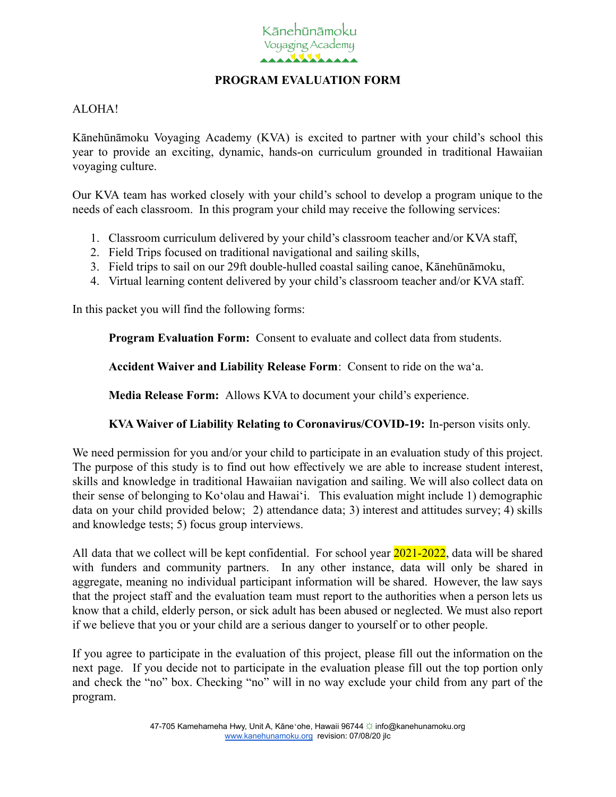

## **PROGRAM EVALUATION FORM**

## ALOHA!

Kānehūnāmoku Voyaging Academy (KVA) is excited to partner with your child's school this year to provide an exciting, dynamic, hands-on curriculum grounded in traditional Hawaiian voyaging culture.

Our KVA team has worked closely with your child's school to develop a program unique to the needs of each classroom. In this program your child may receive the following services:

- 1. Classroom curriculum delivered by your child's classroom teacher and/or KVA staff,
- 2. Field Trips focused on traditional navigational and sailing skills,
- 3. Field trips to sail on our 29ft double-hulled coastal sailing canoe, Kānehūnāmoku,
- 4. Virtual learning content delivered by your child's classroom teacher and/or KVA staff.

In this packet you will find the following forms:

**Program Evaluation Form:** Consent to evaluate and collect data from students.

**Accident Waiver and Liability Release Form**: Consent to ride on the waʻa.

**Media Release Form:** Allows KVA to document your child's experience.

**KVA Waiver of Liability Relating to Coronavirus/COVID-19:** In-person visits only.

We need permission for you and/or your child to participate in an evaluation study of this project. The purpose of this study is to find out how effectively we are able to increase student interest, skills and knowledge in traditional Hawaiian navigation and sailing. We will also collect data on their sense of belonging to Koʻolau and Hawaiʻi. This evaluation might include 1) demographic data on your child provided below; 2) attendance data; 3) interest and attitudes survey; 4) skills and knowledge tests; 5) focus group interviews.

All data that we collect will be kept confidential. For school year 2021-2022, data will be shared with funders and community partners. In any other instance, data will only be shared in aggregate, meaning no individual participant information will be shared. However, the law says that the project staff and the evaluation team must report to the authorities when a person lets us know that a child, elderly person, or sick adult has been abused or neglected. We must also report if we believe that you or your child are a serious danger to yourself or to other people.

If you agree to participate in the evaluation of this project, please fill out the information on the next page. If you decide not to participate in the evaluation please fill out the top portion only and check the "no" box. Checking "no" will in no way exclude your child from any part of the program.